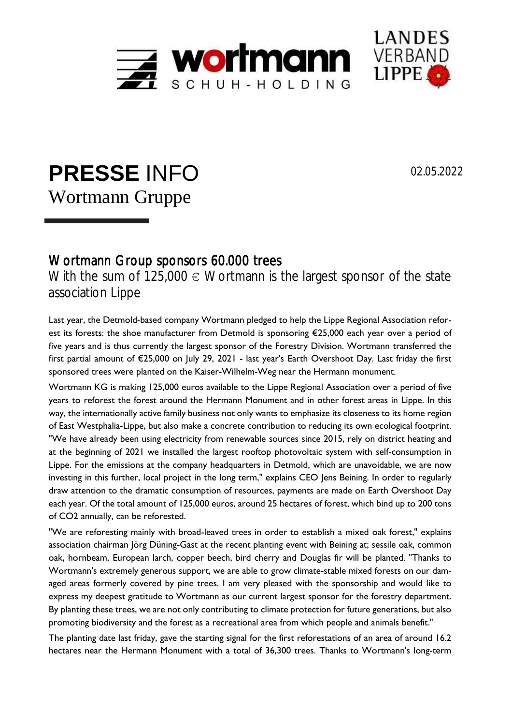



## **PRESSE** INFO Wortmann Gruppe

02.05.2022

## Wortmann Group sponsors 60.000 trees

With the sum of  $125,000 \in W$ ortmann is the largest sponsor of the state association Lippe

Last year, the Detmold-based company Wortmann pledged to help the Lippe Regional Association reforest its forests: the shoe manufacturer from Detmold is sponsoring €25,000 each year over a period of five years and is thus currently the largest sponsor of the Forestry Division. Wortmann transferred the first partial amount of €25,000 on July 29, 2021 - last year's Earth Overshoot Day. Last friday the first sponsored trees were planted on the Kaiser-Wilhelm-Weg near the Hermann monument.

Wortmann KG is making 125,000 euros available to the Lippe Regional Association over a period of five years to reforest the forest around the Hermann Monument and in other forest areas in Lippe. In this way, the internationally active family business not only wants to emphasize its closeness to its home region of East Westphalia-Lippe, but also make a concrete contribution to reducing its own ecological footprint. "We have already been using electricity from renewable sources since 2015, rely on district heating and at the beginning of 2021 we installed the largest rooftop photovoltaic system with self-consumption in Lippe. For the emissions at the company headquarters in Detmold, which are unavoidable, we are now investing in this further, local project in the long term," explains CEO Jens Beining. In order to regularly draw attention to the dramatic consumption of resources, payments are made on Earth Overshoot Day each year. Of the total amount of 125,000 euros, around 25 hectares of forest, which bind up to 200 tons of CO2 annually, can be reforested.

"We are reforesting mainly with broad-leaved trees in order to establish a mixed oak forest," explains association chairman Jörg Düning-Gast at the recent planting event with Beining at; sessile oak, common oak, hornbeam, European larch, copper beech, bird cherry and Douglas fir will be planted. "Thanks to Wortmann's extremely generous support, we are able to grow climate-stable mixed forests on our damaged areas formerly covered by pine trees. I am very pleased with the sponsorship and would like to express my deepest gratitude to Wortmann as our current largest sponsor for the forestry department. By planting these trees, we are not only contributing to climate protection for future generations, but also promoting biodiversity and the forest as a recreational area from which people and animals benefit."

The planting date last friday, gave the starting signal for the first reforestations of an area of around 16.2 hectares near the Hermann Monument with a total of 36,300 trees. Thanks to Wortmann's long-term